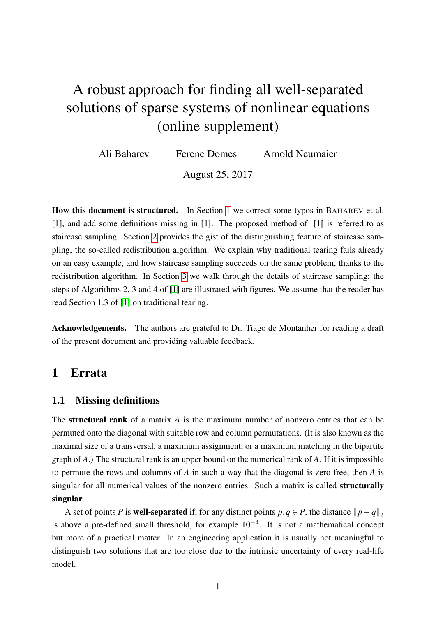# A robust approach for finding all well-separated solutions of sparse systems of nonlinear equations (online supplement)

Ali Baharev Ferenc Domes Arnold Neumaier

August 25, 2017

How this document is structured. In Section [1](#page-0-0) we correct some typos in BAHAREV et al. [\[1\]](#page-12-0), and add some definitions missing in [\[1\]](#page-12-0). The proposed method of [\[1\]](#page-12-0) is referred to as staircase sampling. Section [2](#page-1-0) provides the gist of the distinguishing feature of staircase sampling, the so-called redistribution algorithm. We explain why traditional tearing fails already on an easy example, and how staircase sampling succeeds on the same problem, thanks to the redistribution algorithm. In Section [3](#page-6-0) we walk through the details of staircase sampling; the steps of Algorithms 2, 3 and 4 of [\[1\]](#page-12-0) are illustrated with figures. We assume that the reader has read Section 1.3 of [\[1\]](#page-12-0) on traditional tearing.

Acknowledgements. The authors are grateful to Dr. Tiago de Montanher for reading a draft of the present document and providing valuable feedback.

## <span id="page-0-0"></span>1 Errata

### 1.1 Missing definitions

The structural rank of a matrix *A* is the maximum number of nonzero entries that can be permuted onto the diagonal with suitable row and column permutations. (It is also known as the maximal size of a transversal, a maximum assignment, or a maximum matching in the bipartite graph of *A*.) The structural rank is an upper bound on the numerical rank of *A*. If it is impossible to permute the rows and columns of *A* in such a way that the diagonal is zero free, then *A* is singular for all numerical values of the nonzero entries. Such a matrix is called **structurally** singular.

A set of points *P* is **well-separated** if, for any distinct points *p*,*q* ∈ *P*, the distance  $||p - q||_2$ is above a pre-defined small threshold, for example  $10^{-4}$ . It is not a mathematical concept but more of a practical matter: In an engineering application it is usually not meaningful to distinguish two solutions that are too close due to the intrinsic uncertainty of every real-life model.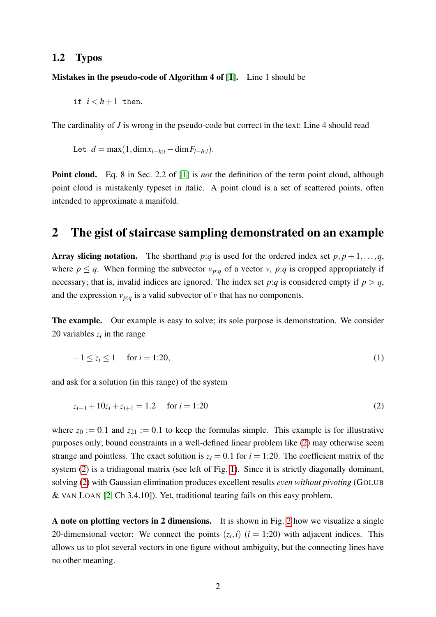#### 1.2 Typos

Mistakes in the pseudo-code of Algorithm 4 of [\[1\]](#page-12-0). Line 1 should be

if  $i < h+1$  then.

The cardinality of *J* is wrong in the pseudo-code but correct in the text: Line 4 should read

Let  $d = \max(1, \dim x_{i-h:i} - \dim F_{i-h:i}).$ 

Point cloud. Eq. 8 in Sec. 2.2 of [\[1\]](#page-12-0) is *not* the definition of the term point cloud, although point cloud is mistakenly typeset in italic. A point cloud is a set of scattered points, often intended to approximate a manifold.

## <span id="page-1-0"></span>2 The gist of staircase sampling demonstrated on an example

Array slicing notation. The shorthand *p*:*q* is used for the ordered index set  $p, p+1, \ldots, q$ , where  $p \leq q$ . When forming the subvector  $v_{p:q}$  of a vector *v*, *p*:*q* is cropped appropriately if necessary; that is, invalid indices are ignored. The index set  $p:q$  is considered empty if  $p > q$ , and the expression  $v_{p:q}$  is a valid subvector of  $v$  that has no components.

The example. Our example is easy to solve; its sole purpose is demonstration. We consider 20 variables  $z_i$  in the range

<span id="page-1-2"></span><span id="page-1-1"></span>
$$
-1 \le z_i \le 1 \quad \text{for } i = 1:20,
$$
\n<sup>(1)</sup>

and ask for a solution (in this range) of the system

$$
z_{i-1} + 10z_i + z_{i+1} = 1.2 \quad \text{for } i = 1.20
$$
 (2)

where  $z_0 := 0.1$  and  $z_{21} := 0.1$  to keep the formulas simple. This example is for illustrative purposes only; bound constraints in a well-defined linear problem like [\(2\)](#page-1-1) may otherwise seem strange and pointless. The exact solution is  $z_i = 0.1$  for  $i = 1:20$ . The coefficient matrix of the system [\(2\)](#page-1-1) is a tridiagonal matrix (see left of Fig. [1\)](#page-2-0). Since it is strictly diagonally dominant, solving [\(2\)](#page-1-1) with Gaussian elimination produces excellent results *even without pivoting* (GOLUB & VAN LOAN [\[2,](#page-12-1) Ch 3.4.10]). Yet, traditional tearing fails on this easy problem.

A note on plotting vectors in 2 dimensions. It is shown in Fig. [2](#page-2-1) how we visualize a single 20-dimensional vector: We connect the points  $(z_i, i)$   $(i = 1:20)$  with adjacent indices. This allows us to plot several vectors in one figure without ambiguity, but the connecting lines have no other meaning.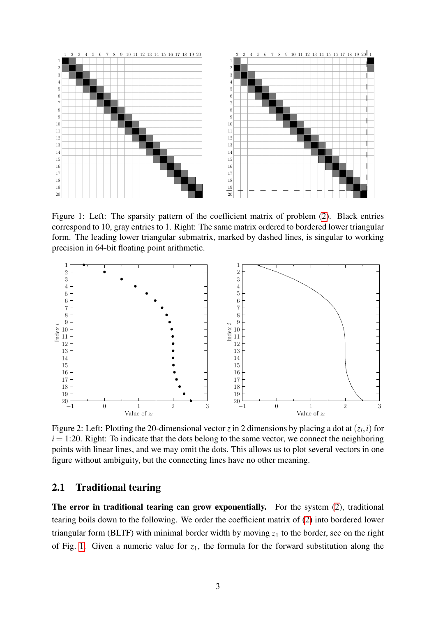

<span id="page-2-0"></span>Figure 1: Left: The sparsity pattern of the coefficient matrix of problem [\(2\)](#page-1-1). Black entries correspond to 10, gray entries to 1. Right: The same matrix ordered to bordered lower triangular form. The leading lower triangular submatrix, marked by dashed lines, is singular to working precision in 64-bit floating point arithmetic.



<span id="page-2-1"></span>Figure 2: Left: Plotting the 20-dimensional vector *z* in 2 dimensions by placing a dot at  $(z_i, i)$  for  $i = 1:20$ . Right: To indicate that the dots belong to the same vector, we connect the neighboring points with linear lines, and we may omit the dots. This allows us to plot several vectors in one figure without ambiguity, but the connecting lines have no other meaning.

### 2.1 Traditional tearing

The error in traditional tearing can grow exponentially. For the system [\(2\)](#page-1-1), traditional tearing boils down to the following. We order the coefficient matrix of [\(2\)](#page-1-1) into bordered lower triangular form (BLTF) with minimal border width by moving  $z_1$  to the border, see on the right of Fig. [1.](#page-2-0) Given a numeric value for  $z_1$ , the formula for the forward substitution along the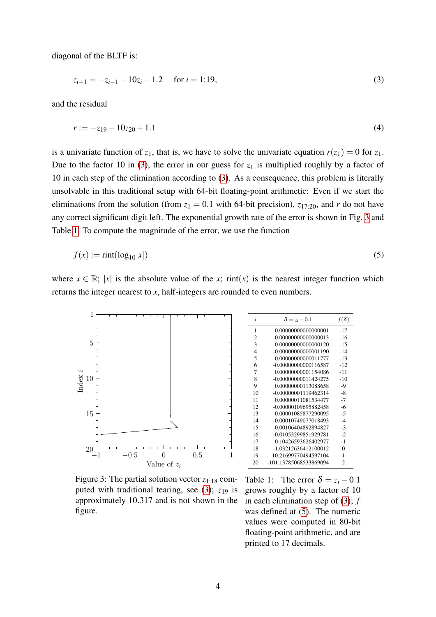diagonal of the BLTF is:

<span id="page-3-0"></span>
$$
z_{i+1} = -z_{i-1} - 10z_i + 1.2 \quad \text{for } i = 1:19,
$$
\n(3)

and the residual

$$
r := -z_{19} - 10z_{20} + 1.1\tag{4}
$$

is a univariate function of  $z_1$ , that is, we have to solve the univariate equation  $r(z_1) = 0$  for  $z_1$ . Due to the factor 10 in [\(3\)](#page-3-0), the error in our guess for  $z_1$  is multiplied roughly by a factor of 10 in each step of the elimination according to [\(3\)](#page-3-0). As a consequence, this problem is literally unsolvable in this traditional setup with 64-bit floating-point arithmetic: Even if we start the eliminations from the solution (from  $z_1 = 0.1$  with 64-bit precision),  $z_{17:20}$ , and *r* do not have any correct significant digit left. The exponential growth rate of the error is shown in Fig. [3](#page-3-1) and Table [1.](#page-3-2) To compute the magnitude of the error, we use the function

$$
f(x) := \text{rint}(\log_{10}|x|) \tag{5}
$$

where  $x \in \mathbb{R}$ ; |*x*| is the absolute value of the *x*; rint(*x*) is the nearest integer function which returns the integer nearest to *x*, half-integers are rounded to even numbers.



<span id="page-3-1"></span>Figure 3: The partial solution vector  $z_{1:18}$  computed with traditional tearing, see  $(3)$ ;  $z_{19}$  is approximately 10.317 and is not shown in the figure.

<span id="page-3-3"></span>

| i              | $\delta = z_i - 0.1$   | $f(\delta)$ |
|----------------|------------------------|-------------|
| 1              | 0.00000000000000001    | -17         |
| 2              | $-0.00000000000000013$ | $-16$       |
| 3              | 0.00000000000000120    | -15         |
| $\overline{4}$ | $-0.00000000000001190$ | $-14$       |
| 5              | 0.00000000000011777    | $-13$       |
| 6              | $-0.00000000000116587$ | $-12$       |
| 7              | 0.00000000001154086    | $-11$       |
| 8              | -0.00000000011424275   | $-10$       |
| 9              | 0.00000000113088658    | $-9$        |
| 10             | -0.00000001119462314   | $-8$        |
| 11             | 0.00000011081534477    | $-7$        |
| 12             | -0.00000109695882458   | -6          |
| 13             | 0.00001085877290095    | $-5$        |
| 14             | -0.00010749077018493   | $-4$        |
| 15             | 0.00106404892894827    | $-3$        |
| 16             | -0.01053299851929781   | $-2$        |
| 17             | 0.10426593626402977    | $-1$        |
| 18             | -1.03212636412100012   | $\theta$    |
| 19             | 10.21699770494597104   | 1           |
| 20             | -101.13785068533869094 | 2           |

<span id="page-3-2"></span>Table 1: The error  $\delta = z_i - 0.1$ grows roughly by a factor of 10 in each elimination step of [\(3\)](#page-3-0); *f* was defined at  $(5)$ . The numeric values were computed in 80-bit floating-point arithmetic, and are printed to 17 decimals.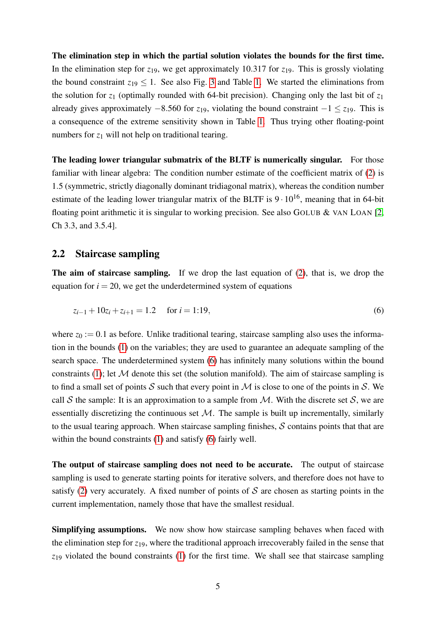The elimination step in which the partial solution violates the bounds for the first time. In the elimination step for  $z_{19}$ , we get approximately 10.317 for  $z_{19}$ . This is grossly violating the bound constraint  $z_{19} \leq 1$ . See also Fig. [3](#page-3-1) and Table [1.](#page-3-2) We started the eliminations from the solution for  $z_1$  (optimally rounded with 64-bit precision). Changing only the last bit of  $z_1$ already gives approximately −8.560 for *z*19, violating the bound constraint −1 ≤ *z*19. This is a consequence of the extreme sensitivity shown in Table [1.](#page-3-2) Thus trying other floating-point numbers for  $z_1$  will not help on traditional tearing.

The leading lower triangular submatrix of the BLTF is numerically singular. For those familiar with linear algebra: The condition number estimate of the coefficient matrix of [\(2\)](#page-1-1) is 1.5 (symmetric, strictly diagonally dominant tridiagonal matrix), whereas the condition number estimate of the leading lower triangular matrix of the BLTF is  $9 \cdot 10^{16}$ , meaning that in 64-bit floating point arithmetic it is singular to working precision. See also GOLUB  $&$  VAN LOAN [\[2,](#page-12-1) Ch 3.3, and 3.5.4].

#### 2.2 Staircase sampling

The aim of staircase sampling. If we drop the last equation of [\(2\)](#page-1-1), that is, we drop the equation for  $i = 20$ , we get the underdetermined system of equations

<span id="page-4-0"></span>
$$
z_{i-1} + 10z_i + z_{i+1} = 1.2 \quad \text{for } i = 1:19,
$$
 (6)

where  $z_0 := 0.1$  as before. Unlike traditional tearing, staircase sampling also uses the information in the bounds [\(1\)](#page-1-2) on the variables; they are used to guarantee an adequate sampling of the search space. The underdetermined system [\(6\)](#page-4-0) has infinitely many solutions within the bound constraints [\(1\)](#page-1-2); let  $M$  denote this set (the solution manifold). The aim of staircase sampling is to find a small set of points S such that every point in M is close to one of the points in S. We call S the sample: It is an approximation to a sample from  $M$ . With the discrete set S, we are essentially discretizing the continuous set  $M$ . The sample is built up incrementally, similarly to the usual tearing approach. When staircase sampling finishes,  $S$  contains points that that are within the bound constraints [\(1\)](#page-1-2) and satisfy [\(6\)](#page-4-0) fairly well.

The output of staircase sampling does not need to be accurate. The output of staircase sampling is used to generate starting points for iterative solvers, and therefore does not have to satisfy [\(2\)](#page-1-1) very accurately. A fixed number of points of  $S$  are chosen as starting points in the current implementation, namely those that have the smallest residual.

Simplifying assumptions. We now show how staircase sampling behaves when faced with the elimination step for  $z_{19}$ , where the traditional approach irrecoverably failed in the sense that *z*<sup>19</sup> violated the bound constraints [\(1\)](#page-1-2) for the first time. We shall see that staircase sampling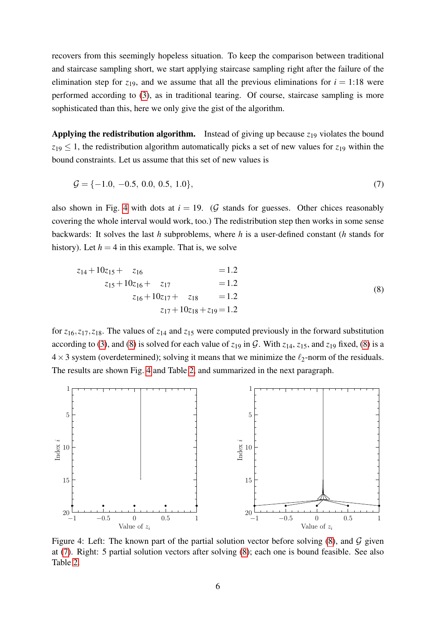recovers from this seemingly hopeless situation. To keep the comparison between traditional and staircase sampling short, we start applying staircase sampling right after the failure of the elimination step for  $z_{19}$ , and we assume that all the previous eliminations for  $i = 1:18$  were performed according to [\(3\)](#page-3-0), as in traditional tearing. Of course, staircase sampling is more sophisticated than this, here we only give the gist of the algorithm.

Applying the redistribution algorithm. Instead of giving up because  $z_{19}$  violates the bound  $z_{19} \leq 1$ , the redistribution algorithm automatically picks a set of new values for  $z_{19}$  within the bound constraints. Let us assume that this set of new values is

<span id="page-5-2"></span>
$$
\mathcal{G} = \{-1.0, -0.5, 0.0, 0.5, 1.0\},\tag{7}
$$

also shown in Fig. [4](#page-5-0) with dots at  $i = 19$ . (G stands for guesses. Other chices reasonably covering the whole interval would work, too.) The redistribution step then works in some sense backwards: It solves the last *h* subproblems, where *h* is a user-defined constant (*h* stands for history). Let  $h = 4$  in this example. That is, we solve

<span id="page-5-1"></span>
$$
z_{14} + 10z_{15} + z_{16} = 1.2
$$
  
\n
$$
z_{15} + 10z_{16} + z_{17} = 1.2
$$
  
\n
$$
z_{16} + 10z_{17} + z_{18} = 1.2
$$
  
\n
$$
z_{17} + 10z_{18} + z_{19} = 1.2
$$
  
\n(8)

for  $z_{16}, z_{17}, z_{18}$ . The values of  $z_{14}$  and  $z_{15}$  were computed previously in the forward substitution according to [\(3\)](#page-3-0), and [\(8\)](#page-5-1) is solved for each value of  $z_{19}$  in G. With  $z_{14}$ ,  $z_{15}$ , and  $z_{19}$  fixed, (8) is a  $4 \times 3$  system (overdetermined); solving it means that we minimize the  $\ell_2$ -norm of the residuals. The results are shown Fig. [4](#page-5-0) and Table [2,](#page-6-1) and summarized in the next paragraph.



<span id="page-5-0"></span>Figure 4: Left: The known part of the partial solution vector before solving  $(8)$ , and  $\mathcal G$  given at [\(7\)](#page-5-2). Right: 5 partial solution vectors after solving [\(8\)](#page-5-1); each one is bound feasible. See also Table [2.](#page-6-1)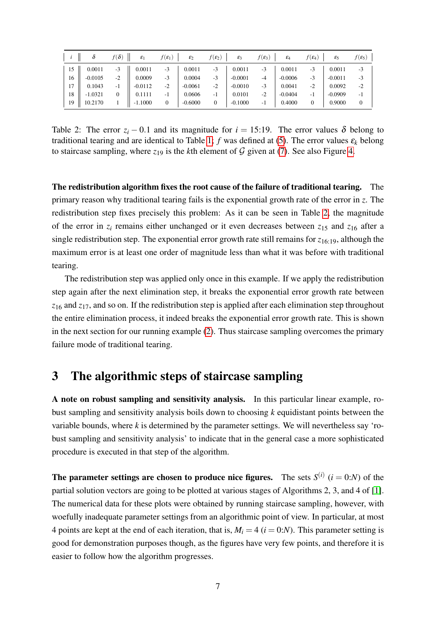|    |           | $f(\boldsymbol{\delta})$ | $\varepsilon_1$ | $f(\mathcal{E}_1)$ | $\varepsilon_2$ | $f(\mathcal{E}_2)$ | $\varepsilon_3$ | $f(\varepsilon_3)$ | $\varepsilon_4$ | $f(\pmb{\varepsilon_4})$ | $\varepsilon_5$ | $f(\mathbf{\varepsilon}_{5})$ |
|----|-----------|--------------------------|-----------------|--------------------|-----------------|--------------------|-----------------|--------------------|-----------------|--------------------------|-----------------|-------------------------------|
| 15 | 0.0011    | $-3$                     | 0.0011          | $-3$               | 0.0011          | $-3$               | 0.0011          | $-3$               | 0.0011          | $-3$                     | 0.0011          | $-3$                          |
| 16 | $-0.0105$ | $-2$                     | 0.0009          | $-3$               | 0.0004          | $-3$               | $-0.0001$       | $-4$               | $-0.0006$       | -3                       | $-0.0011$       | $-3$                          |
| 17 | 0.1043    | -1                       | $-0.0112$       | $-2$               | $-0.0061$       | $-2$               | $-0.0010$       | $-3$               | 0.0041          | $-2$                     | 0.0092          | $-2$                          |
| 18 | $-1.0321$ | $\mathbf{0}$             | 0.1111          | $-1$               | 0.0606          | $-1$               | 0.0101          | $-2$               | $-0.0404$       | -1                       | $-0.0909$       | $-1$                          |
| 19 | 10.2170   |                          | $-1.1000$       | 0                  | $-0.6000$       | 0                  | $-0.1000$       | - 1                | 0.4000          | 0                        | 0.9000          | $\theta$                      |

<span id="page-6-1"></span>Table 2: The error  $z_i$  − 0.1 and its magnitude for  $i = 15:19$ . The error values  $\delta$  belong to traditional tearing and are identical to Table [1;](#page-3-2) *f* was defined at [\(5\)](#page-3-3). The error values  $\varepsilon_k$  belong to staircase sampling, where  $z_{19}$  is the *k*th element of  $G$  given at [\(7\)](#page-5-2). See also Figure [4.](#page-5-0)

The redistribution algorithm fixes the root cause of the failure of traditional tearing. The primary reason why traditional tearing fails is the exponential growth rate of the error in *z*. The redistribution step fixes precisely this problem: As it can be seen in Table [2,](#page-6-1) the magnitude of the error in  $z_i$  remains either unchanged or it even decreases between  $z_{15}$  and  $z_{16}$  after a single redistribution step. The exponential error growth rate still remains for *z*16:19, although the maximum error is at least one order of magnitude less than what it was before with traditional tearing.

The redistribution step was applied only once in this example. If we apply the redistribution step again after the next elimination step, it breaks the exponential error growth rate between *z*<sup>16</sup> and *z*17, and so on. If the redistribution step is applied after each elimination step throughout the entire elimination process, it indeed breaks the exponential error growth rate. This is shown in the next section for our running example [\(2\)](#page-1-1). Thus staircase sampling overcomes the primary failure mode of traditional tearing.

## <span id="page-6-0"></span>3 The algorithmic steps of staircase sampling

A note on robust sampling and sensitivity analysis. In this particular linear example, robust sampling and sensitivity analysis boils down to choosing *k* equidistant points between the variable bounds, where  $k$  is determined by the parameter settings. We will nevertheless say 'robust sampling and sensitivity analysis' to indicate that in the general case a more sophisticated procedure is executed in that step of the algorithm.

**The parameter settings are chosen to produce nice figures.** The sets  $S^{(i)}$  ( $i = 0:N$ ) of the partial solution vectors are going to be plotted at various stages of Algorithms 2, 3, and 4 of [\[1\]](#page-12-0). The numerical data for these plots were obtained by running staircase sampling, however, with woefully inadequate parameter settings from an algorithmic point of view. In particular, at most 4 points are kept at the end of each iteration, that is,  $M_i = 4$  ( $i = 0:N$ ). This parameter setting is good for demonstration purposes though, as the figures have very few points, and therefore it is easier to follow how the algorithm progresses.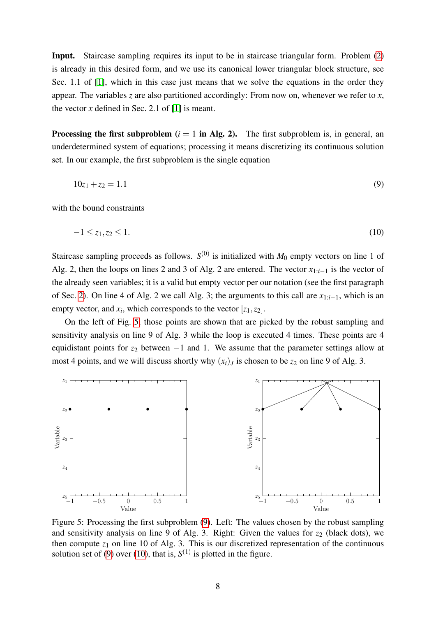Input. Staircase sampling requires its input to be in staircase triangular form. Problem [\(2\)](#page-1-1) is already in this desired form, and we use its canonical lower triangular block structure, see Sec. 1.1 of [\[1\]](#page-12-0), which in this case just means that we solve the equations in the order they appear. The variables *z* are also partitioned accordingly: From now on, whenever we refer to *x*, the vector  $x$  defined in Sec. 2.1 of  $[1]$  is meant.

**Processing the first subproblem**  $(i = 1$  in Alg. 2). The first subproblem is, in general, an underdetermined system of equations; processing it means discretizing its continuous solution set. In our example, the first subproblem is the single equation

<span id="page-7-2"></span><span id="page-7-1"></span>
$$
10z_1 + z_2 = 1.1 \tag{9}
$$

with the bound constraints

$$
-1 \le z_1, z_2 \le 1. \tag{10}
$$

Staircase sampling proceeds as follows.  $S^{(0)}$  is initialized with  $M_0$  empty vectors on line 1 of Alg. 2, then the loops on lines 2 and 3 of Alg. 2 are entered. The vector *x*1:*i*−<sup>1</sup> is the vector of the already seen variables; it is a valid but empty vector per our notation (see the first paragraph of Sec. [2\)](#page-1-0). On line 4 of Alg. 2 we call Alg. 3; the arguments to this call are *x*1:*i*−1, which is an empty vector, and  $x_i$ , which corresponds to the vector  $[z_1, z_2]$ .

On the left of Fig. [5,](#page-7-0) those points are shown that are picked by the robust sampling and sensitivity analysis on line 9 of Alg. 3 while the loop is executed 4 times. These points are 4 equidistant points for  $z_2$  between −1 and 1. We assume that the parameter settings allow at most 4 points, and we will discuss shortly why  $(x_i)_J$  is chosen to be  $z_2$  on line 9 of Alg. 3.



<span id="page-7-0"></span>Figure 5: Processing the first subproblem [\(9\)](#page-7-1). Left: The values chosen by the robust sampling and sensitivity analysis on line 9 of Alg. 3. Right: Given the values for  $z_2$  (black dots), we then compute  $z_1$  on line 10 of Alg. 3. This is our discretized representation of the continuous solution set of [\(9\)](#page-7-1) over [\(10\)](#page-7-2), that is,  $S^{(1)}$  is plotted in the figure.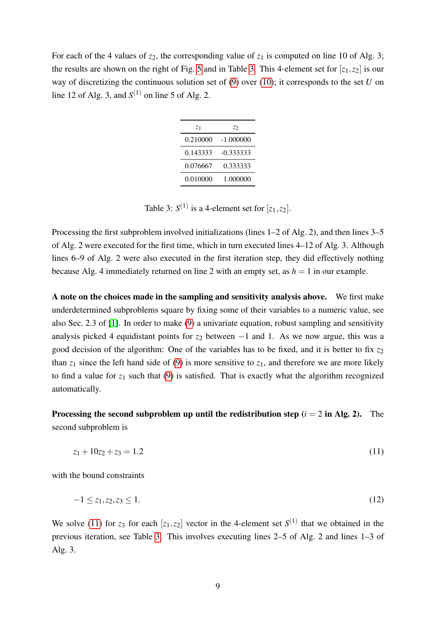For each of the 4 values of  $z_2$ , the corresponding value of  $z_1$  is computed on line 10 of Alg. 3; the results are shown on the right of Fig. [5](#page-7-0) and in Table [3.](#page-8-0) This 4-element set for  $[z_1, z_2]$  is our way of discretizing the continuous solution set of [\(9\)](#page-7-1) over [\(10\)](#page-7-2); it corresponds to the set *U* on line 12 of Alg. 3, and  $S^{(1)}$  on line 5 of Alg. 2.

| Z1       | Z2          |
|----------|-------------|
| 0.210000 | $-1.000000$ |
| 0.143333 | -0.333333   |
| 0.076667 | 0.333333    |
| 0.010000 | 1.000000    |

<span id="page-8-0"></span>Table 3:  $S^{(1)}$  is a 4-element set for  $[z_1, z_2]$ .

Processing the first subproblem involved initializations (lines 1–2 of Alg. 2), and then lines 3–5 of Alg. 2 were executed for the first time, which in turn executed lines 4–12 of Alg. 3. Although lines 6–9 of Alg. 2 were also executed in the first iteration step, they did effectively nothing because Alg. 4 immediately returned on line 2 with an empty set, as  $h = 1$  in our example.

A note on the choices made in the sampling and sensitivity analysis above. We first make underdetermined subproblems square by fixing some of their variables to a numeric value, see also Sec. 2.3 of [\[1\]](#page-12-0). In order to make [\(9\)](#page-7-1) a univariate equation, robust sampling and sensitivity analysis picked 4 equidistant points for  $z_2$  between  $-1$  and 1. As we now argue, this was a good decision of the algorithm: One of the variables has to be fixed, and it is better to fix  $z_2$ than  $z_1$  since the left hand side of [\(9\)](#page-7-1) is more sensitive to  $z_1$ , and therefore we are more likely to find a value for  $z_1$  such that [\(9\)](#page-7-1) is satisfied. That is exactly what the algorithm recognized automatically.

Processing the second subproblem up until the redistribution step  $(i = 2$  in Alg. 2). The second subproblem is

<span id="page-8-2"></span><span id="page-8-1"></span>
$$
z_1 + 10z_2 + z_3 = 1.2 \tag{11}
$$

with the bound constraints

$$
-1 \le z_1, z_2, z_3 \le 1. \tag{12}
$$

We solve [\(11\)](#page-8-1) for  $z_3$  for each  $[z_1, z_2]$  vector in the 4-element set  $S^{(1)}$  that we obtained in the previous iteration, see Table [3.](#page-8-0) This involves executing lines 2–5 of Alg. 2 and lines 1–3 of Alg. 3.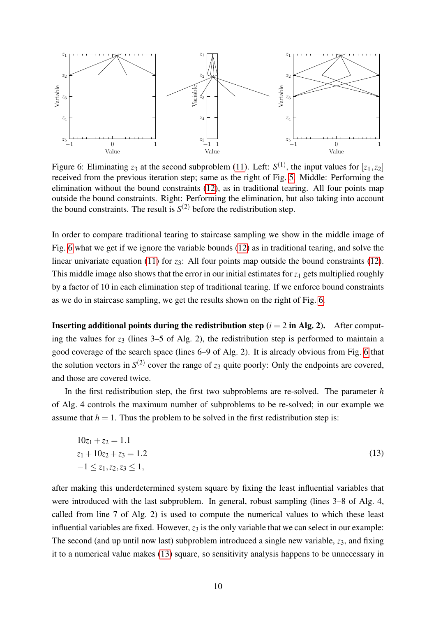

<span id="page-9-0"></span>Figure 6: Eliminating  $z_3$  at the second subproblem [\(11\)](#page-8-1). Left:  $S^{(1)}$ , the input values for  $[z_1, z_2]$ received from the previous iteration step; same as the right of Fig. [5.](#page-7-0) Middle: Performing the elimination without the bound constraints [\(12\)](#page-8-2), as in traditional tearing. All four points map outside the bound constraints. Right: Performing the elimination, but also taking into account the bound constraints. The result is  $S^{(2)}$  before the redistribution step.

In order to compare traditional tearing to staircase sampling we show in the middle image of Fig. [6](#page-9-0) what we get if we ignore the variable bounds [\(12\)](#page-8-2) as in traditional tearing, and solve the linear univariate equation [\(11\)](#page-8-1) for *z*<sub>3</sub>: All four points map outside the bound constraints [\(12\)](#page-8-2). This middle image also shows that the error in our initial estimates for  $z_1$  gets multiplied roughly by a factor of 10 in each elimination step of traditional tearing. If we enforce bound constraints as we do in staircase sampling, we get the results shown on the right of Fig. [6.](#page-9-0)

**Inserting additional points during the redistribution step**  $(i = 2$  **in Alg. 2).** After computing the values for *z*<sup>3</sup> (lines 3–5 of Alg. 2), the redistribution step is performed to maintain a good coverage of the search space (lines 6–9 of Alg. 2). It is already obvious from Fig. [6](#page-9-0) that the solution vectors in  $S^{(2)}$  cover the range of  $z_3$  quite poorly: Only the endpoints are covered, and those are covered twice.

In the first redistribution step, the first two subproblems are re-solved. The parameter *h* of Alg. 4 controls the maximum number of subproblems to be re-solved; in our example we assume that  $h = 1$ . Thus the problem to be solved in the first redistribution step is:

<span id="page-9-1"></span>
$$
10z1 + z2 = 1.1\nz1 + 10z2 + z3 = 1.2\n-1 \le z1, z2, z3 \le 1,
$$
\n(13)

after making this underdetermined system square by fixing the least influential variables that were introduced with the last subproblem. In general, robust sampling (lines 3–8 of Alg. 4, called from line 7 of Alg. 2) is used to compute the numerical values to which these least influential variables are fixed. However,  $z_3$  is the only variable that we can select in our example: The second (and up until now last) subproblem introduced a single new variable, *z*3, and fixing it to a numerical value makes [\(13\)](#page-9-1) square, so sensitivity analysis happens to be unnecessary in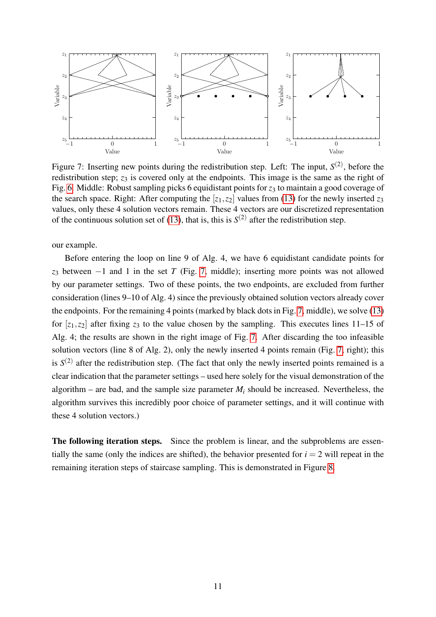

<span id="page-10-0"></span>Figure 7: Inserting new points during the redistribution step. Left: The input,  $S^{(2)}$ , before the redistribution step;  $z_3$  is covered only at the endpoints. This image is the same as the right of Fig. [6.](#page-9-0) Middle: Robust sampling picks 6 equidistant points for  $z_3$  to maintain a good coverage of the search space. Right: After computing the  $[z_1, z_2]$  values from [\(13\)](#page-9-1) for the newly inserted  $z_3$ values, only these 4 solution vectors remain. These 4 vectors are our discretized representation of the continuous solution set of [\(13\)](#page-9-1), that is, this is  $S^{(2)}$  after the redistribution step.

our example.

Before entering the loop on line 9 of Alg. 4, we have 6 equidistant candidate points for *z*<sup>3</sup> between −1 and 1 in the set *T* (Fig. [7,](#page-10-0) middle); inserting more points was not allowed by our parameter settings. Two of these points, the two endpoints, are excluded from further consideration (lines 9–10 of Alg. 4) since the previously obtained solution vectors already cover the endpoints. For the remaining 4 points (marked by black dots in Fig. [7,](#page-10-0) middle), we solve [\(13\)](#page-9-1) for  $[z_1, z_2]$  after fixing  $z_3$  to the value chosen by the sampling. This executes lines 11–15 of Alg. 4; the results are shown in the right image of Fig. [7.](#page-10-0) After discarding the too infeasible solution vectors (line 8 of Alg. 2), only the newly inserted 4 points remain (Fig. [7,](#page-10-0) right); this is  $S^{(2)}$  after the redistribution step. (The fact that only the newly inserted points remained is a clear indication that the parameter settings – used here solely for the visual demonstration of the algorithm – are bad, and the sample size parameter  $M_i$  should be increased. Nevertheless, the algorithm survives this incredibly poor choice of parameter settings, and it will continue with these 4 solution vectors.)

The following iteration steps. Since the problem is linear, and the subproblems are essentially the same (only the indices are shifted), the behavior presented for  $i = 2$  will repeat in the remaining iteration steps of staircase sampling. This is demonstrated in Figure [8.](#page-11-0)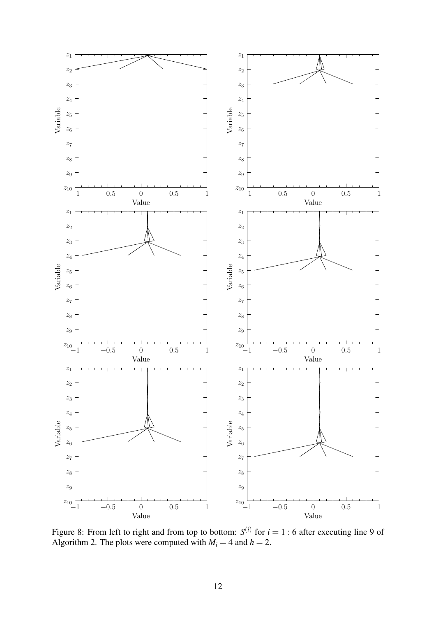

<span id="page-11-0"></span>Figure 8: From left to right and from top to bottom:  $S^{(i)}$  for  $i = 1 : 6$  after executing line 9 of Algorithm 2. The plots were computed with  $M_i = 4$  and  $h = 2$ .